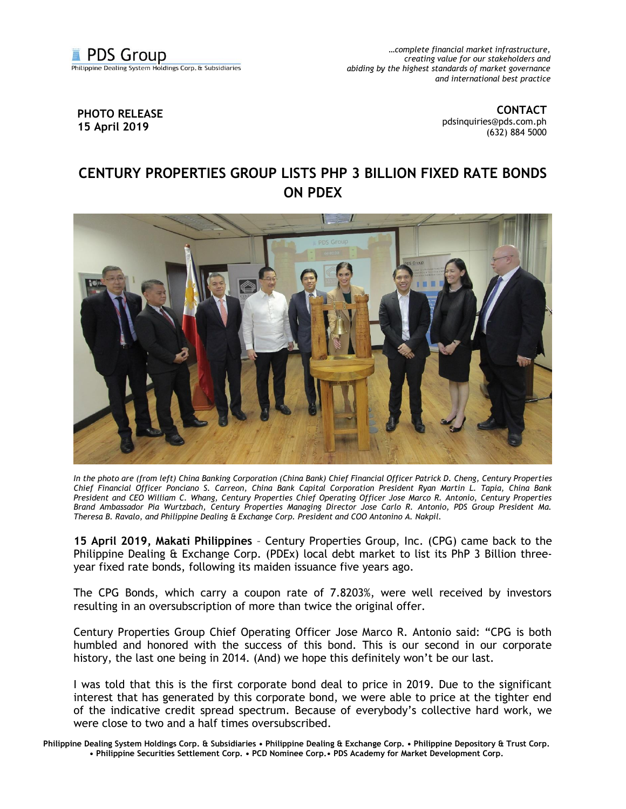

*…complete financial market infrastructure, creating value for our stakeholders and abiding by the highest standards of market governance and international best practice*

## **PHOTO RELEASE 15 April 2019**

**CONTACT** [pdsinquiries@pds.com.ph](mailto:pdsinquiries@pds.com.ph) (632) 884 5000

## **CENTURY PROPERTIES GROUP LISTS PHP 3 BILLION FIXED RATE BONDS ON PDEX**



*In the photo are (from left) China Banking Corporation (China Bank) Chief Financial Officer Patrick D. Cheng, Century Properties Chief Financial Officer Ponciano S. Carreon, China Bank Capital Corporation President Ryan Martin L. Tapia, China Bank President and CEO William C. Whang, Century Properties Chief Operating Officer Jose Marco R. Antonio, Century Properties Brand Ambassador Pia Wurtzbach, Century Properties Managing Director Jose Carlo R. Antonio, PDS Group President Ma. Theresa B. Ravalo, and Philippine Dealing & Exchange Corp. President and COO Antonino A. Nakpil.* 

**15 April 2019, Makati Philippines** – Century Properties Group, Inc. (CPG) came back to the Philippine Dealing & Exchange Corp. (PDEx) local debt market to list its PhP 3 Billion threeyear fixed rate bonds, following its maiden issuance five years ago.

The CPG Bonds, which carry a coupon rate of 7.8203%, were well received by investors resulting in an oversubscription of more than twice the original offer.

Century Properties Group Chief Operating Officer Jose Marco R. Antonio said: "CPG is both humbled and honored with the success of this bond. This is our second in our corporate history, the last one being in 2014. (And) we hope this definitely won't be our last.

I was told that this is the first corporate bond deal to price in 2019. Due to the significant interest that has generated by this corporate bond, we were able to price at the tighter end of the indicative credit spread spectrum. Because of everybody's collective hard work, we were close to two and a half times oversubscribed.

**Philippine Dealing System Holdings Corp. & Subsidiaries • Philippine Dealing & Exchange Corp. • Philippine Depository & Trust Corp. • Philippine Securities Settlement Corp. • PCD Nominee Corp.• PDS Academy for Market Development Corp.**